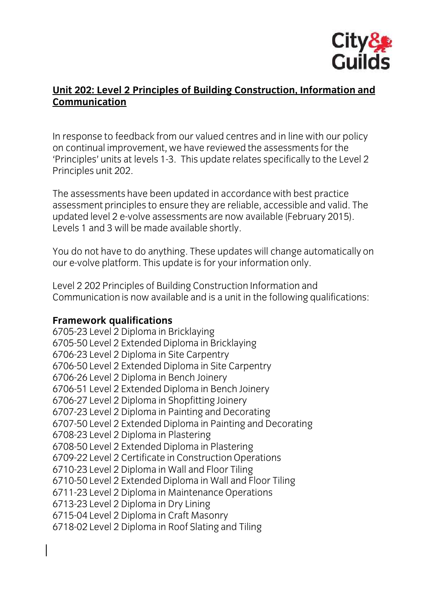

## **Unit 202: Level 2 Principles of Building Construction, Information and Communication**

In response to feedback from our valued centres and in line with our policy<br>on continual improvement, we have reviewed the assessments for the 'Principles' units at levels 1-3. This update relates specifically to the Level 2 Principles unit 202. Principles unit 202.

The assessments have been updated in accordance with best practice<br>assessment principles to ensure they are reliable, accessible and valid. The updated level 2 e-volve assessments are now available (February 2015).  $\mu$  evels 1 and 3 will be made available shortly  $\mathcal{L}$  and  $\mathcal{L}$  will be made available shortly.

You do not have to do any angertices up dates minimage automatically on our e-volve platform. This update is for your information only.

 $\overline{C}$  communication is now available and is a unit in the following of Communication is now available and is a unit in the following qualifications:

**Framework qualifications** 6705-50 Level 2 Extended Diploma in Bricklaying 6706-23 Level 2 Diploma in Site Carpentry 6706-50 Level 2 Extended Diploma in Site Carpentry 6706-26 Level 2 Diploma in Bench Joinery 6706-51 Level 2 Extended Diploma in Bench Joinery 6706-27 Level 2 Diploma in Shopfitting Joinery 6707-23 Level 2 Diploma in Painting and Decorating 6707-50 Level 2 Extended Diploma in Painting and Decorating 6708-23 Level 2 Diploma in Plastering 6708-50 Level 2 Extended Diploma in Plastering 6709-22 Level 2 Certificate in Construction Operations 6710-23 Level 2 Diploma in Wall and Floor Tiling 6710-50 Level 2 Extended Diploma in Wall and Floor Tiling 6711-23 Level 2 Diploma in Maintenance Operations 6713-23 Level 2 Diploma in Dry Lining 6715-04 Level 2 Diploma in Craft Masonry 6718-02 Level 2 Diploma in Roof Slating and Tiling  $\frac{1}{2}$  diplomation in Roof Slating and Tiling and Tiling and Tiling and Tiling and Tiling and Tiling and Tiling and Tiling and Tiling and Tiling and Tiling and Tiling and Tiling and Tiling and Tiling and Tiling and Til